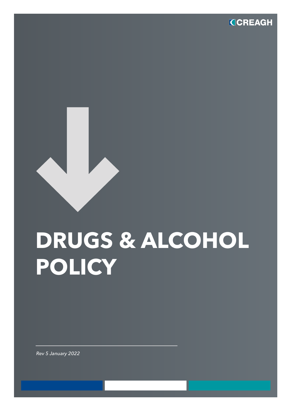

# **DRUGS & ALCOHOL POLICY**

*Rev 5 January 2022*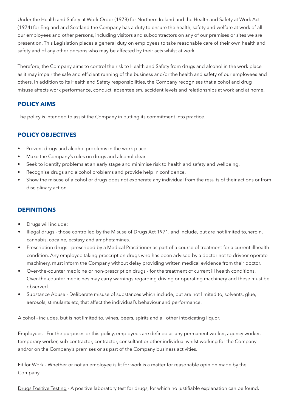Under the Health and Safety at Work Order (1978) for Northern Ireland and the Health and Safety at Work Act (1974) for England and Scotland the Company has a duty to ensure the health, safety and welfare at work of all our employees and other persons, including visitors and subcontractors on any of our premises or sites we are present on. This Legislation places a general duty on employees to take reasonable care of their own health and safety and of any other persons who may be affected by their acts whilst at work.

Therefore, the Company aims to control the risk to Health and Safety from drugs and alcohol in the work place as it may impair the safe and efficient running of the business and/or the health and safety of our employees and others. In addition to its Health and Safety responsibilities, the Company recognises that alcohol and drug misuse affects work performance, conduct, absenteeism, accident levels and relationships at work and at home.

# **POLICY AIMS**

The policy is intended to assist the Company in putting its commitment into practice.

# **POLICY OBJECTIVES**

- Prevent drugs and alcohol problems in the work place.
- Make the Company's rules on drugs and alcohol clear.
- Seek to identify problems at an early stage and minimise risk to health and safety and wellbeing.
- Recognise drugs and alcohol problems and provide help in confidence.
- Show the misuse of alcohol or drugs does not exonerate any individual from the results of their actions or from disciplinary action.

## **DEFINITIONS**

- Drugs will include:
- Illegal drugs those controlled by the Misuse of Drugs Act 1971, and include, but are not limited to,heroin, cannabis, cocaine, ecstasy and amphetamines.
- Prescription drugs prescribed by a Medical Practitioner as part of a course of treatment for a current illhealth condition. Any employee taking prescription drugs who has been advised by a doctor not to driveor operate machinery, must inform the Company without delay providing written medical evidence from their doctor.
- Over-the-counter medicine or non-prescription drugs for the treatment of current ill health conditions. Over-the-counter medicines may carry warnings regarding driving or operating machinery and these must be observed.
- Substance Abuse Deliberate misuse of substances which include, but are not limited to, solvents, glue, aerosols, stimulants etc, that affect the individual's behaviour and performance.

Alcohol - includes, but is not limited to, wines, beers, spirits and all other intoxicating liquor.

Employees - For the purposes or this policy, employees are defined as any permanent worker, agency worker, temporary worker, sub-contractor, contractor, consultant or other individual whilst working for the Company and/or on the Company's premises or as part of the Company business activities.

Fit for Work - Whether or not an employee is fit for work is a matter for reasonable opinion made by the Company

Drugs Positive Testing - A positive laboratory test for drugs, for which no justifiable explanation can be found.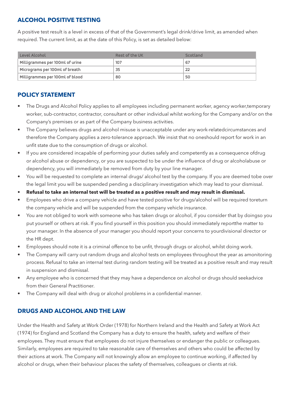#### **ALCOHOL POSITIVE TESTING**

A positive test result is a level in excess of that of the Government's legal drink/drive limit, as amended when required. The current limit, as at the date of this Policy, is set as detailed below:

| Level Alcohol                   | Rest of the UK | Scotland |
|---------------------------------|----------------|----------|
| Milligrammes per 100ml of urine | 107            | 67       |
| Micrograms per 100ml of breath  | 35             |          |
| Milligrammes per 100ml of blood | 80             | 50       |

#### **POLICY STATEMENT**

- The Drugs and Alcohol Policy applies to all employees including permanent worker, agency worker,temporary worker, sub-contractor, contractor, consultant or other individual whilst working for the Company and/or on the Company's premises or as part of the Company business activities.
- The Company believes drugs and alcohol misuse is unacceptable under any work-relatedcircumstances and therefore the Company applies a zero-tolerance approach. We insist that no oneshould report for work in an unfit state due to the consumption of drugs or alcohol.
- If you are considered incapable of performing your duties safely and competently as a consequence ofdrug or alcohol abuse or dependency, or you are suspected to be under the influence of drug or alcoholabuse or dependency, you will immediately be removed from duty by your line manager.
- You will be requested to complete an internal drugs/ alcohol test by the company. If you are deemed tobe over the legal limit you will be suspended pending a disciplinary investigation which may lead to your dismissal.
- **• Refusal to take an internal test will be treated as a positive result and may result in dismissal.**
- Employees who drive a company vehicle and have tested positive for drugs/alcohol will be required toreturn the company vehicle and will be suspended from the company vehicle insurance.
- You are not obliged to work with someone who has taken drugs or alcohol, if you consider that by doingso you put yourself or others at risk. If you find yourself in this position you should immediately reportthe matter to your manager. In the absence of your manager you should report your concerns to yourdivisional director or the HR dept.
- Employees should note it is a criminal offence to be unfit, through drugs or alcohol, whilst doing work.
- The Company will carry out random drugs and alcohol tests on employees throughout the year as amonitoring process. Refusal to take an internal test during random testing will be treated as a positive result and may result in suspension and dismissal.
- Any employee who is concerned that they may have a dependence on alcohol or drugs should seekadvice from their General Practitioner.
- The Company will deal with drug or alcohol problems in a confidential manner.

## **DRUGS AND ALCOHOL AND THE LAW**

Under the Health and Safety at Work Order (1978) for Northern Ireland and the Health and Safety at Work Act (1974) for England and Scotland the Company has a duty to ensure the health, safety and welfare of their employees. They must ensure that employees do not injure themselves or endanger the public or colleagues. Similarly, employees are required to take reasonable care of themselves and others who could be affected by their actions at work. The Company will not knowingly allow an employee to continue working, if affected by alcohol or drugs, when their behaviour places the safety of themselves, colleagues or clients at risk.